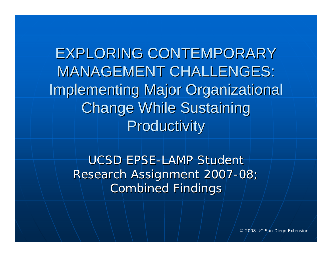EXPLORING CONTEMPORARY **MANAGEMENT CHALLENGES: Implementing Major Organizational Change While Sustaining** Productivity

UCSD EPSE-LAMP Student Research Assignment 2007-08; **Combined Findings** 

© 2008 UC San Diego Extension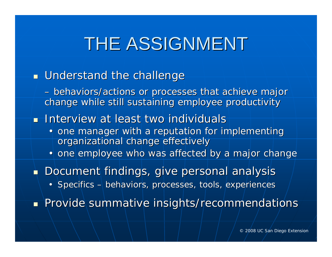# THE ASSIGNMENT

### $\blacksquare$  Understand the challenge

 *behaviors/actions or processes that achieve major behaviors/actions or processes that achieve major change while still sustaining employee productivity change while still sustaining employee productivity*

**Interview at least two individuals** 

• one manager with a reputation for implementing organizational change effectively

• one employee who was affected by a major change

 $\blacksquare$  Document findings, give personal analysis

• Specifics  $-$  behaviors, processes, tools, experiences

Provide summative insights/recommendations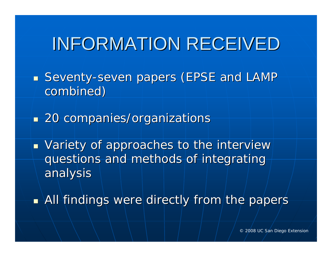## INFORMATION RECEIVED

- $\mathbb{R}^2$ **Band Seventy-seven papers (EPSE and LAMP seventy-seven papers (EPSE and LAMP** combined)
- $\mathbb{R}^2$ **20 companies/organizations**
- $\overline{\phantom{a}}$  $\textcolor{red}{\bullet}$  Variety of approaches to the interview questions and methods of integrating analysis analysis
- $\mathbb{R}^2$  $\blacksquare$  All findings were directly from the papers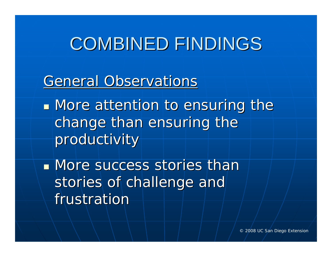## **COMBINED FINDINGS**

### General Observations

**Nore attention to ensuring the** change than ensuring the productivity

**Nore success stories than** stories of challenge and frustration

© 2008 UC San Diego Extension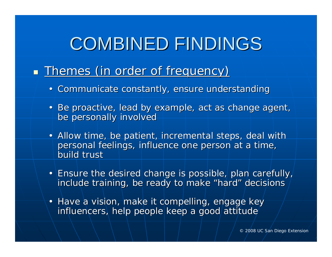# **COMBINED FINDINGS**

#### $\overline{\phantom{0}}$ **Themes (in order of frequency)**

- Communicate constantly, ensure understanding
- Be proactive, lead by example, act as change agent, be personally involved
- Allow time, be patient, incremental steps, deal with personal feelings, influence one person at a time, build trust
- Ensure the desired change is possible, plan carefully, include training, be ready to make "hard" decisions
- Have a vision, make it compelling, engage keyinfluencers, help people keep a good attitude